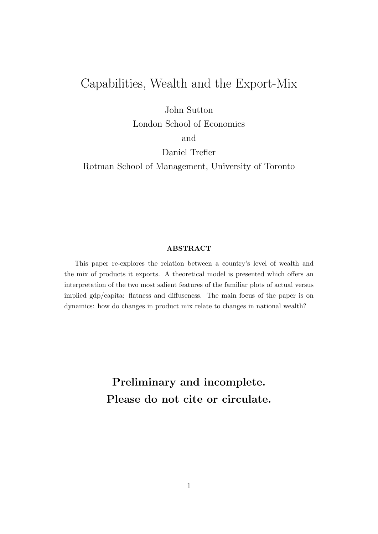# Capabilities, Wealth and the Export-Mix

John Sutton London School of Economics

and

Daniel Trefler

Rotman School of Management, University of Toronto

#### ABSTRACT

This paper re-explores the relation between a country's level of wealth and the mix of products it exports. A theoretical model is presented which offers an interpretation of the two most salient features of the familiar plots of actual versus implied gdp/capita: flatness and diffuseness. The main focus of the paper is on dynamics: how do changes in product mix relate to changes in national wealth?

> Preliminary and incomplete. Please do not cite or circulate.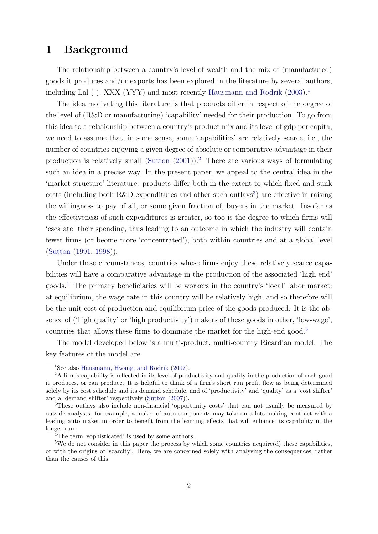## <span id="page-1-5"></span>1 Background

The relationship between a country's level of wealth and the mix of (manufactured) goods it produces and/or exports has been explored in the literature by several authors, including Lal  $($ ), XXX (YYY) and most recently [Hausmann and Rodrik](#page-15-0)  $(2003)^{11}$  $(2003)^{11}$  $(2003)^{11}$  $(2003)^{11}$ 

The idea motivating this literature is that products differ in respect of the degree of the level of (R&D or manufacturing) 'capability' needed for their production. To go from this idea to a relationship between a country's product mix and its level of gdp per capita, we need to assume that, in some sense, some 'capabilities' are relatively scarce, i.e., the number of countries enjoying a given degree of absolute or comparative advantage in their production is relatively small [\(Sutton](#page-16-0)  $(2001)$ ).<sup>[2](#page-1-1)</sup> There are various ways of formulating such an idea in a precise way. In the present paper, we appeal to the central idea in the 'market structure' literature: products differ both in the extent to which fixed and sunk costs (including both R&D expenditures and other such outlays<sup>[3](#page-1-2)</sup>) are effective in raising the willingness to pay of all, or some given fraction of, buyers in the market. Insofar as the effectiveness of such expenditures is greater, so too is the degree to which firms will 'escalate' their spending, thus leading to an outcome in which the industry will contain fewer firms (or beome more 'concentrated'), both within countries and at a global level [\(Sutton](#page-15-1) [\(1991,](#page-15-1) [1998\)](#page-16-1)).

Under these circumstances, countries whose firms enjoy these relatively scarce capabilities will have a comparative advantage in the production of the associated 'high end' goods.[4](#page-1-3) The primary beneficiaries will be workers in the country's 'local' labor market: at equilibrium, the wage rate in this country will be relatively high, and so therefore will be the unit cost of production and equilibrium price of the goods produced. It is the absence of ('high quality' or 'high productivity') makers of these goods in other, 'low-wage', countries that allows these firms to dominate the market for the high-end good.<sup>[5](#page-1-4)</sup>

The model developed below is a multi-product, multi-country Ricardian model. The key features of the model are

<span id="page-1-1"></span><span id="page-1-0"></span><sup>1</sup>See also [Hausmann, Hwang, and Rodrik](#page-15-2) [\(2007\)](#page-15-2).

<sup>2</sup>A firm's capability is reflected in its level of productivity and quality in the production of each good it produces, or can produce. It is helpful to think of a firm's short run profit flow as being determined solely by its cost schedule and its demand schedule, and of 'productivity' and 'quality' as a 'cost shifter' and a 'demand shifter' respectively [\(Sutton](#page-16-2) [\(2007\)](#page-16-2)).

<span id="page-1-2"></span><sup>3</sup>These outlays also include non-financial 'opportunity costs' that can not usually be measured by outside analysts: for example, a maker of auto-components may take on a lots making contract with a leading auto maker in order to benefit from the learning effects that will enhance its capability in the longer run.

<span id="page-1-4"></span><span id="page-1-3"></span><sup>&</sup>lt;sup>4</sup>The term 'sophisticated' is used by some authors.

 $5$ We do not consider in this paper the process by which some countries acquire(d) these capabilities, or with the origins of 'scarcity'. Here, we are concerned solely with analysing the consequences, rather than the causes of this.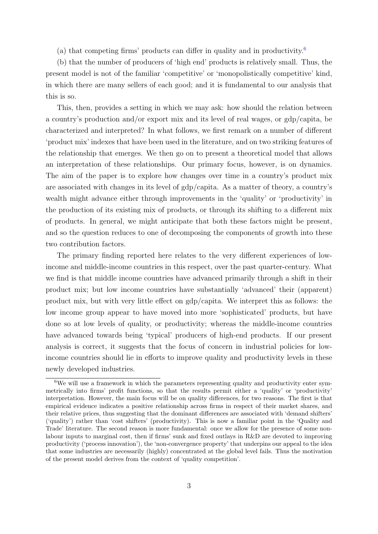(a) that competing firms' products can differ in quality and in productivity.<sup>[6](#page-2-0)</sup>

(b) that the number of producers of 'high end' products is relatively small. Thus, the present model is not of the familiar 'competitive' or 'monopolistically competitive' kind, in which there are many sellers of each good; and it is fundamental to our analysis that this is so.

This, then, provides a setting in which we may ask: how should the relation between a country's production and/or export mix and its level of real wages, or gdp/capita, be characterized and interpreted? In what follows, we first remark on a number of different 'product mix' indexes that have been used in the literature, and on two striking features of the relationship that emerges. We then go on to present a theoretical model that allows an interpretation of these relationships. Our primary focus, however, is on dynamics. The aim of the paper is to explore how changes over time in a country's product mix are associated with changes in its level of gdp/capita. As a matter of theory, a country's wealth might advance either through improvements in the 'quality' or 'productivity' in the production of its existing mix of products, or through its shifting to a different mix of products. In general, we might anticipate that both these factors might be present, and so the question reduces to one of decomposing the components of growth into these two contribution factors.

The primary finding reported here relates to the very different experiences of lowincome and middle-income countries in this respect, over the past quarter-century. What we find is that middle income countries have advanced primarily through a shift in their product mix; but low income countries have substantially 'advanced' their (apparent) product mix, but with very little effect on gdp/capita. We interpret this as follows: the low income group appear to have moved into more 'sophisticated' products, but have done so at low levels of quality, or productivity; whereas the middle-income countries have advanced towards being 'typical' producers of high-end products. If our present analysis is correct, it suggests that the focus of concern in industrial policies for lowincome countries should lie in efforts to improve quality and productivity levels in these newly developed industries.

<span id="page-2-0"></span> $6$ We will use a framework in which the parameters representing quality and productivity enter symmetrically into firms' profit functions, so that the results permit either a 'quality' or 'productivity' interpretation. However, the main focus will be on quality differences, for two reasons. The first is that empirical evidence indicates a positive relationship across firms in respect of their market shares, and their relative prices, thus suggesting that the dominant differences are associated with 'demand shifters' ('quality') rather than 'cost shifters' (productivity). This is now a familiar point in the 'Quality and Trade' literature. The second reason is more fundamental: once we allow for the presence of some nonlabour inputs to marginal cost, then if firms' sunk and fixed outlays in R&D are devoted to improving productivity ('process innovation'), the 'non-convergence property' that underpins our appeal to the idea that some industries are necessarily (highly) concentrated at the global level fails. Thus the motivation of the present model derives from the context of 'quality competition'.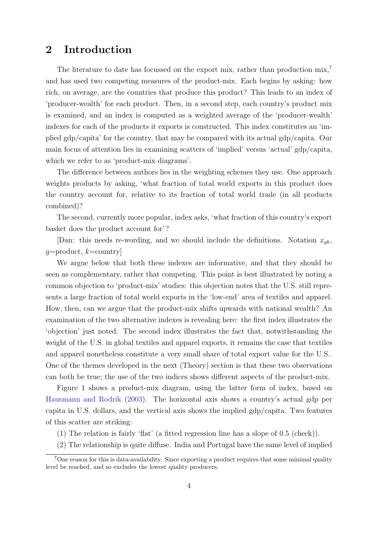# <span id="page-3-1"></span>2 Introduction

The literature to date has focussed on the export mix, rather than production mix,<sup>[7](#page-3-0)</sup> and has used two competing measures of the product-mix. Each begins by asking: how rich, on average, are the countries that produce this product? This leads to an index of 'producer-wealth' for each product. Then, in a second step, each country's product mix is examined, and an index is computed as a weighted average of the 'producer-wealth' indexes for each of the products it exports is constructed. This index constitutes an 'implied gdp/capita' for the country, that may be compared with its actual gdp/capita. Our main focus of attention lies in examining scatters of 'implied' versus 'actual' gdp/capita, which we refer to as 'product-mix diagrams'.

The difference between authors lies in the weighting schemes they use. One approach weights products by asking, 'what fraction of total world exports in this product does the country account for, relative to its fraction of total world trade (in all products combined)?

The second, currently more popular, index asks, 'what fraction of this country's export basket does the product account for'?

[Dan: this needs re-wording, and we should include the definitions. Notation  $x_{ak}$ ,  $q =$ product,  $k =$ country

We argue below that both these indexes are informative, and that they should be seen as complementary, rather that competing. This point is best illustrated by noting a common objection to 'product-mix' studies: this objection notes that the U.S. still represents a large fraction of total world exports in the 'low-end' area of textiles and apparel. How, then, can we argue that the product-mix shifts upwards with national wealth? An examination of the two alternative indexes is revealing here: the first index illustrates the 'objection' just noted. The second index illustrates the fact that, notwithstanding the weight of the U.S. in global textiles and apparel exports, it remains the case that textiles and apparel nonetheless constitute a very small share of total export value for the U.S.. One of the themes developed in the next (Theory) section is that these two observations can both be true; the use of the two indices shows different aspects of the product-mix.

Figure 1 shows a product-mix diagram, using the latter form of index, based on [Hausmann and Rodrik](#page-15-0) [\(2003\)](#page-15-0). The horizontal axis shows a country's actual gdp per capita in U.S. dollars, and the vertical axis shows the implied gdp/capita. Two features of this scatter are striking:

- (1) The relation is fairly 'flat' (a fitted regression line has a slope of 0.5 (check)).
- <span id="page-3-0"></span>(2) The relationship is quite diffuse. India and Portugal have the same level of implied

<sup>7</sup>One reason for this is data-availability. Since exporting a product requires that some minimal quality level be reached, and so excludes the lowest quality producers.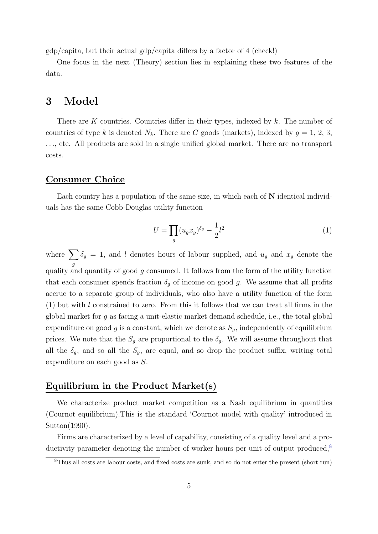$gdp/c$ apita, but their actual  $gdp/c$ apita differs by a factor of 4 (check!)

One focus in the next (Theory) section lies in explaining these two features of the data.

### 3 Model

There are K countries. Countries differ in their types, indexed by  $k$ . The number of countries of type k is denoted  $N_k$ . There are G goods (markets), indexed by  $g = 1, 2, 3$ , . . ., etc. All products are sold in a single unified global market. There are no transport costs.

#### Consumer Choice

Each country has a population of the same size, in which each of  $N$  identical individuals has the same Cobb-Douglas utility function

$$
U = \prod_{g} (u_g x_g)^{\delta_g} - \frac{1}{2} l^2
$$
 (1)

where  $\sum$ g  $\delta_g = 1$ , and l denotes hours of labour supplied, and  $u_g$  and  $x_g$  denote the quality and quantity of good g consumed. It follows from the form of the utility function that each consumer spends fraction  $\delta_g$  of income on good g. We assume that all profits accrue to a separate group of individuals, who also have a utility function of the form  $(1)$  but with l constrained to zero. From this it follows that we can treat all firms in the global market for  $g$  as facing a unit-elastic market demand schedule, i.e., the total global expenditure on good g is a constant, which we denote as  $S_g$ , independently of equilibrium prices. We note that the  $S_g$  are proportional to the  $\delta_g$ . We will assume throughout that all the  $\delta_g$ , and so all the  $S_g$ , are equal, and so drop the product suffix, writing total expenditure on each good as S.

#### Equilibrium in the Product Market(s)

We characterize product market competition as a Nash equilibrium in quantities (Cournot equilibrium).This is the standard 'Cournot model with quality' introduced in Sutton(1990).

Firms are characterized by a level of capability, consisting of a quality level and a productivity parameter denoting the number of worker hours per unit of output produced, $8$ 

<span id="page-4-0"></span><sup>8</sup>Thus all costs are labour costs, and fixed costs are sunk, and so do not enter the present (short run)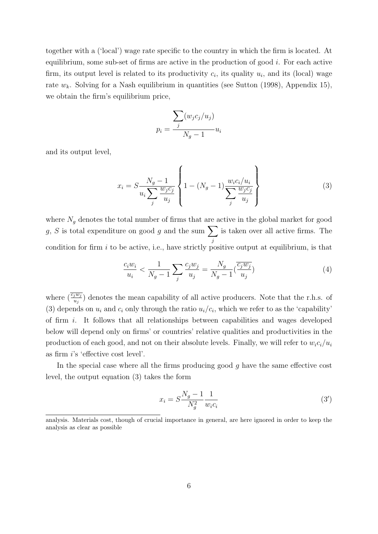together with a ('local') wage rate specific to the country in which the firm is located. At equilibrium, some sub-set of firms are active in the production of good  $i$ . For each active firm, its output level is related to its productivity  $c_i$ , its quality  $u_i$ , and its (local) wage rate  $w_k$ . Solving for a Nash equilibrium in quantities (see Sutton (1998), Appendix 15), we obtain the firm's equilibrium price,

$$
p_i = \frac{\sum_j (w_j c_j / u_j)}{N_g - 1} u_i
$$

and its output level,

$$
x_i = S \frac{N_g - 1}{u_i \sum_j \frac{w_j c_j}{u_j}} \left\{ 1 - (N_g - 1) \frac{w_i c_i / u_i}{\sum_j \frac{w_j c_j}{u_j}} \right\}
$$
(3)

where  $N_g$  denotes the total number of firms that are active in the global market for good g, S is total expenditure on good g and the sum  $\sum$ j is taken over all active firms. The condition for firm  $i$  to be active, i.e., have strictly positive output at equilibrium, is that

$$
\frac{c_i w_i}{u_i} < \frac{1}{N_g - 1} \sum_j \frac{c_j w_j}{u_j} = \frac{N_g}{N_g - 1} \left(\frac{\overline{c_j w_j}}{u_j}\right) \tag{4}
$$

where  $(\frac{\overline{c_j w_j}}{u_j})$  denotes the mean capability of all active producers. Note that the r.h.s. of (3) depends on  $u_i$  and  $c_i$  only through the ratio  $u_i/c_i$ , which we refer to as the 'capability' of firm  $i$ . It follows that all relationships between capabilities and wages developed below will depend only on firms' or countries' relative qualities and productivities in the production of each good, and not on their absolute levels. Finally, we will refer to  $w_i c_i/u_i$ as firm i's 'effective cost level'.

In the special case where all the firms producing good  $g$  have the same effective cost level, the output equation (3) takes the form

$$
x_i = S \frac{N_g - 1}{N_g^2} \frac{1}{w_i c_i} \tag{3'}
$$

analysis. Materials cost, though of crucial importance in general, are here ignored in order to keep the analysis as clear as possible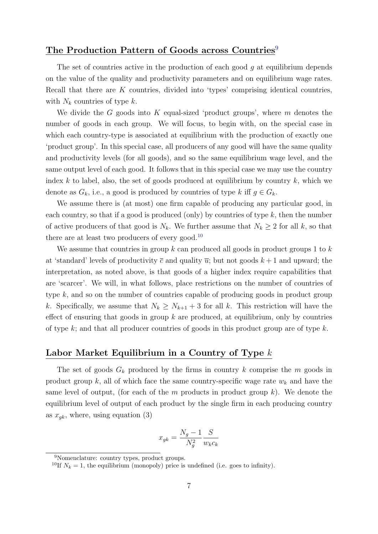### The Production Pattern of Goods across Countries<sup>[9](#page-6-0)</sup>

The set of countries active in the production of each good  $q$  at equilibrium depends on the value of the quality and productivity parameters and on equilibrium wage rates. Recall that there are K countries, divided into 'types' comprising identical countries, with  $N_k$  countries of type k.

We divide the G goods into K equal-sized 'product groups', where  $m$  denotes the number of goods in each group. We will focus, to begin with, on the special case in which each country-type is associated at equilibrium with the production of exactly one 'product group'. In this special case, all producers of any good will have the same quality and productivity levels (for all goods), and so the same equilibrium wage level, and the same output level of each good. It follows that in this special case we may use the country index k to label, also, the set of goods produced at equilibrium by country  $k$ , which we denote as  $G_k$ , i.e., a good is produced by countries of type k iff  $g \in G_k$ .

We assume there is (at most) one firm capable of producing any particular good, in each country, so that if a good is produced (only) by countries of type  $k$ , then the number of active producers of that good is  $N_k$ . We further assume that  $N_k \geq 2$  for all k, so that there are at least two producers of every good.<sup>[10](#page-6-1)</sup>

We assume that countries in group  $k$  can produced all goods in product groups 1 to  $k$ at 'standard' levels of productivity  $\bar{c}$  and quality  $\bar{u}$ ; but not goods  $k+1$  and upward; the interpretation, as noted above, is that goods of a higher index require capabilities that are 'scarcer'. We will, in what follows, place restrictions on the number of countries of type k, and so on the number of countries capable of producing goods in product group k. Specifically, we assume that  $N_k \geq N_{k+1} + 3$  for all k. This restriction will have the effect of ensuring that goods in group  $k$  are produced, at equilibrium, only by countries of type k; and that all producer countries of goods in this product group are of type  $k$ .

#### Labor Market Equilibrium in a Country of Type k

The set of goods  $G_k$  produced by the firms in country k comprise the m goods in product group k, all of which face the same country-specific wage rate  $w_k$  and have the same level of output, (for each of the  $m$  products in product group  $k$ ). We denote the equilibrium level of output of each product by the single firm in each producing country as  $x_{qk}$ , where, using equation (3)

$$
x_{gk} = \frac{N_g - 1}{N_g^2} \frac{S}{w_k c_k}
$$

<span id="page-6-0"></span><sup>9</sup>Nomenclature: country types, product groups.

<span id="page-6-1"></span><sup>&</sup>lt;sup>10</sup>If  $N_k = 1$ , the equilibrium (monopoly) price is undefined (i.e. goes to infinity).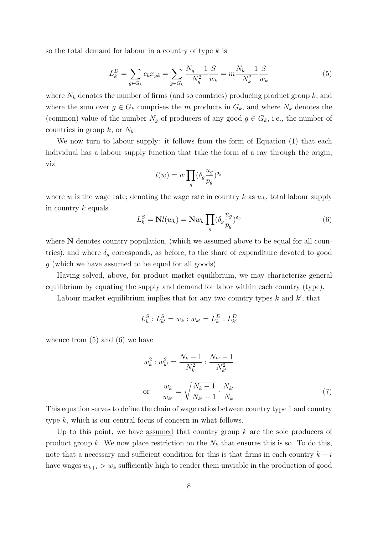so the total demand for labour in a country of type k is

$$
L_k^D = \sum_{g \in G_k} c_k x_{gk} = \sum_{g \in G_k} \frac{N_g - 1}{N_g^2} \frac{S}{w_k} = m \frac{N_k - 1}{N_k^2} \frac{S}{w_k}
$$
(5)

where  $N_k$  denotes the number of firms (and so countries) producing product group k, and where the sum over  $g \in G_k$  comprises the m products in  $G_k$ , and where  $N_k$  denotes the (common) value of the number  $N_g$  of producers of any good  $g \in G_k$ , i.e., the number of countries in group  $k$ , or  $N_k$ .

We now turn to labour supply: it follows from the form of Equation  $(1)$  that each individual has a labour supply function that take the form of a ray through the origin, viz.

$$
l(w) = w \prod_{g} (\delta_g \frac{u_g}{p_g})^{\delta_g}
$$

where w is the wage rate; denoting the wage rate in country k as  $w_k$ , total labour supply in country  $k$  equals

$$
L_k^S = \mathbf{N}l(w_k) = \mathbf{N}w_k \prod_g (\delta_g \frac{u_g}{p_g})^{\delta_g} \tag{6}
$$

where N denotes country population, (which we assumed above to be equal for all countries), and where  $\delta_q$  corresponds, as before, to the share of expenditure devoted to good g (which we have assumed to be equal for all goods).

Having solved, above, for product market equilibrium, we may characterize general equilibrium by equating the supply and demand for labor within each country (type).

Labour market equilibrium implies that for any two country types  $k$  and  $k'$ , that

$$
L_k^S: L_{k'}^S = w_k: w_{k'} = L_k^D: L_{k'}^D
$$

whence from  $(5)$  and  $(6)$  we have

$$
w_k^2 : w_{k'}^2 = \frac{N_k - 1}{N_k^2} : \frac{N_{k'} - 1}{N_{k'}^2}
$$
  
or 
$$
\frac{w_k}{w_{k'}} = \sqrt{\frac{N_k - 1}{N_{k'} - 1}} \cdot \frac{N_{k'}}{N_k}
$$
 (7)

This equation serves to define the chain of wage ratios between country type 1 and country type k, which is our central focus of concern in what follows.

Up to this point, we have assumed that country group  $k$  are the sole producers of product group k. We now place restriction on the  $N_k$  that ensures this is so. To do this, note that a necessary and sufficient condition for this is that firms in each country  $k + i$ have wages  $w_{k+i} > w_k$  sufficiently high to render them unviable in the production of good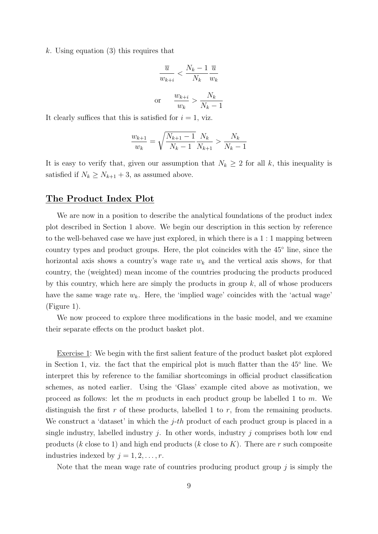k. Using equation (3) this requires that

$$
\frac{\overline{u}}{w_{k+i}} < \frac{N_k - 1}{N_k} \frac{\overline{u}}{w_k}
$$
\nor

\n
$$
\frac{w_{k+i}}{w_k} > \frac{N_k}{N_k - 1}
$$

It clearly suffices that this is satisfied for  $i = 1$ , viz.

$$
\frac{w_{k+1}}{w_k} = \sqrt{\frac{N_{k+1} - 1}{N_k - 1}} \frac{N_k}{N_{k+1}} > \frac{N_k}{N_k - 1}
$$

It is easy to verify that, given our assumption that  $N_k \geq 2$  for all k, this inequality is satisfied if  $N_k \geq N_{k+1} + 3$ , as assumed above.

#### The Product Index Plot

We are now in a position to describe the analytical foundations of the product index plot described in Section 1 above. We begin our description in this section by reference to the well-behaved case we have just explored, in which there is a 1 : 1 mapping between country types and product groups. Here, the plot coincides with the 45◦ line, since the horizontal axis shows a country's wage rate  $w_k$  and the vertical axis shows, for that country, the (weighted) mean income of the countries producing the products produced by this country, which here are simply the products in group  $k$ , all of whose producers have the same wage rate  $w_k$ . Here, the 'implied wage' coincides with the 'actual wage' (Figure 1).

We now proceed to explore three modifications in the basic model, and we examine their separate effects on the product basket plot.

Exercise 1: We begin with the first salient feature of the product basket plot explored in Section 1, viz. the fact that the empirical plot is much flatter than the 45◦ line. We interpret this by reference to the familiar shortcomings in official product classification schemes, as noted earlier. Using the 'Glass' example cited above as motivation, we proceed as follows: let the  $m$  products in each product group be labelled 1 to  $m$ . We distinguish the first r of these products, labelled 1 to r, from the remaining products. We construct a 'dataset' in which the  $j$ -th product of each product group is placed in a single industry, labelled industry  $j$ . In other words, industry  $j$  comprises both low end products (k close to 1) and high end products (k close to K). There are r such composite industries indexed by  $j = 1, 2, \ldots, r$ .

Note that the mean wage rate of countries producing product group  $j$  is simply the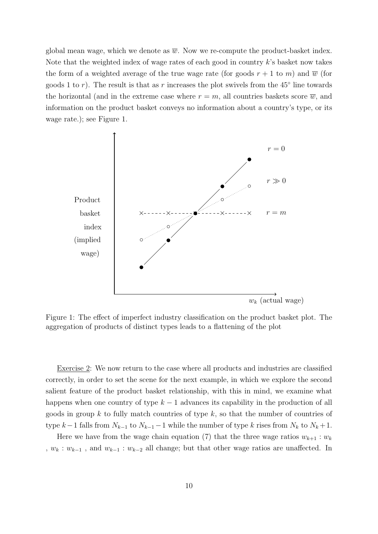global mean wage, which we denote as  $\overline{w}$ . Now we re-compute the product-basket index. Note that the weighted index of wage rates of each good in country k's basket now takes the form of a weighted average of the true wage rate (for goods  $r + 1$  to m) and  $\overline{w}$  (for goods 1 to r). The result is that as r increases the plot swivels from the  $45^{\circ}$  line towards the horizontal (and in the extreme case where  $r = m$ , all countries baskets score  $\overline{w}$ , and information on the product basket conveys no information about a country's type, or its wage rate.); see Figure 1.



Figure 1: The effect of imperfect industry classification on the product basket plot. The aggregation of products of distinct types leads to a flattening of the plot

Exercise 2: We now return to the case where all products and industries are classified correctly, in order to set the scene for the next example, in which we explore the second salient feature of the product basket relationship, with this in mind, we examine what happens when one country of type  $k-1$  advances its capability in the production of all goods in group k to fully match countries of type  $k$ , so that the number of countries of type  $k-1$  falls from  $N_{k-1}$  to  $N_{k-1}-1$  while the number of type k rises from  $N_k$  to  $N_k+1$ .

Here we have from the wage chain equation (7) that the three wage ratios  $w_{k+1} : w_k$ ,  $w_k : w_{k-1}$ , and  $w_{k-1} : w_{k-2}$  all change; but that other wage ratios are unaffected. In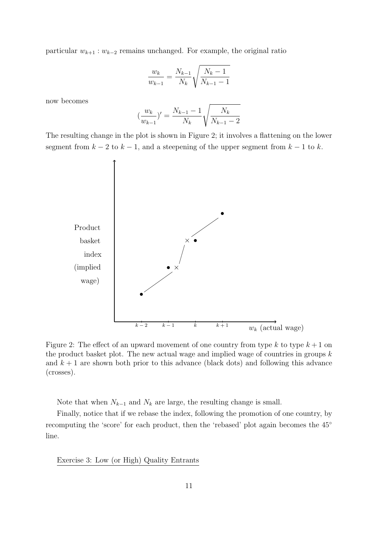particular  $w_{k+1} : w_{k-2}$  remains unchanged. For example, the original ratio

$$
\frac{w_k}{w_{k-1}} = \frac{N_{k-1}}{N_k} \sqrt{\frac{N_k - 1}{N_{k-1} - 1}}
$$

now becomes

$$
\left(\frac{w_k}{w_{k-1}}\right)' = \frac{N_{k-1} - 1}{N_k} \sqrt{\frac{N_k}{N_{k-1} - 2}}
$$

The resulting change in the plot is shown in Figure 2; it involves a flattening on the lower segment from  $k - 2$  to  $k - 1$ , and a steepening of the upper segment from  $k - 1$  to k.



Figure 2: The effect of an upward movement of one country from type k to type  $k+1$  on the product basket plot. The new actual wage and implied wage of countries in groups  $k$ and  $k + 1$  are shown both prior to this advance (black dots) and following this advance (crosses).

Note that when  $N_{k-1}$  and  $N_k$  are large, the resulting change is small.

Finally, notice that if we rebase the index, following the promotion of one country, by recomputing the 'score' for each product, then the 'rebased' plot again becomes the 45◦ line.

Exercise 3: Low (or High) Quality Entrants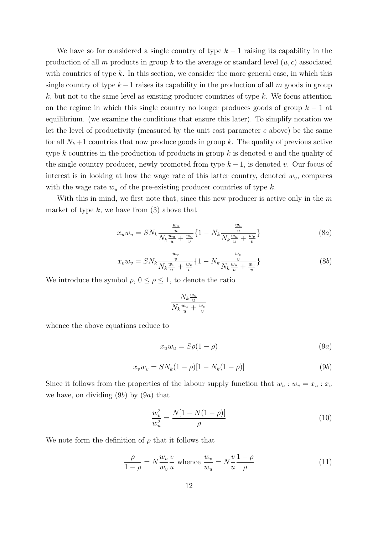We have so far considered a single country of type  $k-1$  raising its capability in the production of all m products in group k to the average or standard level  $(u, c)$  associated with countries of type  $k$ . In this section, we consider the more general case, in which this single country of type  $k-1$  raises its capability in the production of all m goods in group  $k$ , but not to the same level as existing producer countries of type  $k$ . We focus attention on the regime in which this single country no longer produces goods of group  $k - 1$  at equilibrium. (we examine the conditions that ensure this later). To simplify notation we let the level of productivity (measured by the unit cost parameter  $c$  above) be the same for all  $N_k + 1$  countries that now produce goods in group k. The quality of previous active type k countries in the production of products in group  $k$  is denoted  $u$  and the quality of the single country producer, newly promoted from type  $k - 1$ , is denoted v. Our focus of interest is in looking at how the wage rate of this latter country, denoted  $w_v$ , compares with the wage rate  $w_u$  of the pre-existing producer countries of type k.

With this in mind, we first note that, since this new producer is active only in the  $m$ market of type  $k$ , we have from  $(3)$  above that

$$
x_u w_u = SN_k \frac{\frac{w_u}{u}}{N_k \frac{w_u}{u} + \frac{w_v}{v}} \{1 - N_k \frac{\frac{w_u}{u}}{N_k \frac{w_u}{u} + \frac{w_v}{v}}\}
$$
(8a)

$$
x_v w_v = SN_k \frac{\frac{w_v}{v}}{N_k \frac{w_u}{u} + \frac{w_v}{v}} \{1 - N_k \frac{\frac{w_v}{v}}{N_k \frac{w_u}{u} + \frac{w_v}{v}}\}
$$
(8b)

We introduce the symbol  $\rho$ ,  $0 \leq \rho \leq 1$ , to denote the ratio

$$
\frac{N_k\frac{w_u}{u}}{N_k\frac{w_u}{u} + \frac{w_v}{v}}
$$

whence the above equations reduce to

$$
x_u w_u = S\rho(1 - \rho) \tag{9a}
$$

$$
x_v w_v = SN_k(1 - \rho)[1 - N_k(1 - \rho)]
$$
\n(9b)

Since it follows from the properties of the labour supply function that  $w_u : w_v = x_u : x_v$ we have, on dividing  $(9b)$  by  $(9a)$  that

$$
\frac{w_v^2}{w_u^2} = \frac{N[1 - N(1 - \rho)]}{\rho} \tag{10}
$$

We note form the definition of  $\rho$  that it follows that

$$
\frac{\rho}{1-\rho} = N \frac{w_u}{w_v} \frac{v}{u} \text{ whence } \frac{w_v}{w_u} = N \frac{v}{u} \frac{1-\rho}{\rho} \tag{11}
$$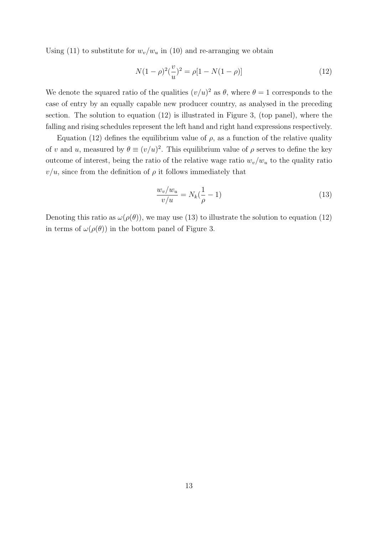Using (11) to substitute for  $w_v/w_u$  in (10) and re-arranging we obtain

$$
N(1 - \rho)^2 \left(\frac{v}{u}\right)^2 = \rho[1 - N(1 - \rho)]\tag{12}
$$

We denote the squared ratio of the qualities  $(v/u)^2$  as  $\theta$ , where  $\theta = 1$  corresponds to the case of entry by an equally capable new producer country, as analysed in the preceding section. The solution to equation (12) is illustrated in Figure 3, (top panel), where the falling and rising schedules represent the left hand and right hand expressions respectively.

Equation (12) defines the equilibrium value of  $\rho$ , as a function of the relative quality of v and u, measured by  $\theta \equiv (v/u)^2$ . This equilibrium value of  $\rho$  serves to define the key outcome of interest, being the ratio of the relative wage ratio  $w_v/w_u$  to the quality ratio  $v/u$ , since from the definition of  $\rho$  it follows immediately that

$$
\frac{w_v/w_u}{v/u} = N_k(\frac{1}{\rho} - 1) \tag{13}
$$

Denoting this ratio as  $\omega(\rho(\theta))$ , we may use (13) to illustrate the solution to equation (12) in terms of  $\omega(\rho(\theta))$  in the bottom panel of Figure 3.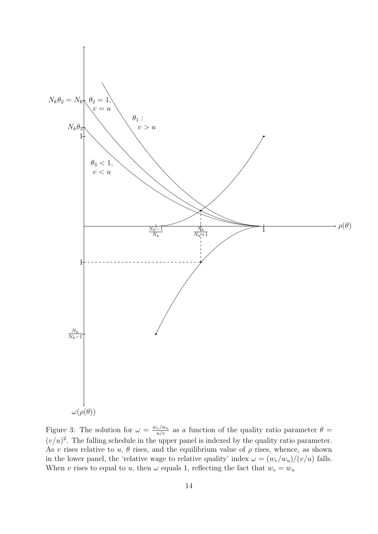

Figure 3: The solution for  $\omega = \frac{w_v/w_u}{u/v}$  as a function of the quality ratio parameter  $\theta =$  $(v/u)^2$ . The falling schedule in the upper panel is indexed by the quality ratio parameter. As v rises relative to u,  $\theta$  rises, and the equilibrium value of  $\rho$  rises, whence, as shown in the lower panel, the 'relative wage to relative quality' index  $\omega = (w_v/w_u)/(v/u)$  falls. When v rises to equal to u, then  $\omega$  equals 1, reflecting the fact that  $w_v = w_u$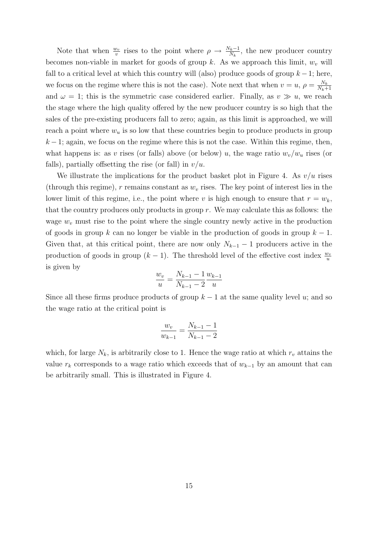Note that when  $\frac{w_v}{v}$  rises to the point where  $\rho \to \frac{N_k-1}{N_k}$ , the new producer country becomes non-viable in market for goods of group k. As we approach this limit,  $w_v$  will fall to a critical level at which this country will (also) produce goods of group  $k - 1$ ; here, we focus on the regime where this is not the case). Note next that when  $v = u$ ,  $\rho = \frac{N_k}{N_k}$  $N_k+1$ and  $\omega = 1$ ; this is the symmetric case considered earlier. Finally, as  $v \gg u$ , we reach the stage where the high quality offered by the new producer country is so high that the sales of the pre-existing producers fall to zero; again, as this limit is approached, we will reach a point where  $w_u$  is so low that these countries begin to produce products in group  $k-1$ ; again, we focus on the regime where this is not the case. Within this regime, then, what happens is: as v rises (or falls) above (or below) u, the wage ratio  $w_v/w_u$  rises (or falls), partially offsetting the rise (or fall) in  $v/u$ .

We illustrate the implications for the product basket plot in Figure 4. As  $v/u$  rises (through this regime), r remains constant as  $w<sub>v</sub>$  rises. The key point of interest lies in the lower limit of this regime, i.e., the point where v is high enough to ensure that  $r = w_k$ , that the country produces only products in group  $r$ . We may calculate this as follows: the wage  $w<sub>v</sub>$  must rise to the point where the single country newly active in the production of goods in group k can no longer be viable in the production of goods in group  $k - 1$ . Given that, at this critical point, there are now only  $N_{k-1} - 1$  producers active in the production of goods in group  $(k-1)$ . The threshold level of the effective cost index  $\frac{w_v}{u}$ is given by

$$
\frac{w_v}{u} = \frac{N_{k-1} - 1}{N_{k-1} - 2} \frac{w_{k-1}}{u}
$$

Since all these firms produce products of group  $k-1$  at the same quality level u; and so the wage ratio at the critical point is

$$
\frac{w_v}{w_{k-1}} = \frac{N_{k-1} - 1}{N_{k-1} - 2}
$$

which, for large  $N_k$ , is arbitrarily close to 1. Hence the wage ratio at which  $r_v$  attains the value  $r_k$  corresponds to a wage ratio which exceeds that of  $w_{k-1}$  by an amount that can be arbitrarily small. This is illustrated in Figure 4.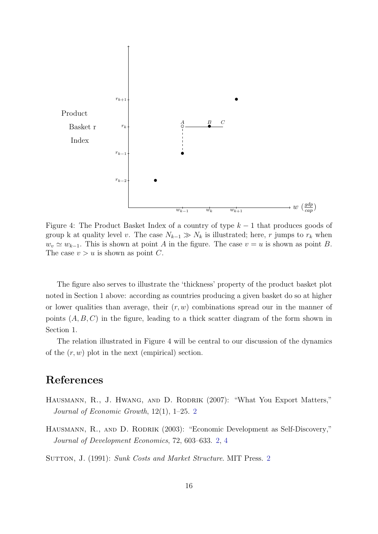

Figure 4: The Product Basket Index of a country of type  $k-1$  that produces goods of group k at quality level v. The case  $N_{k-1} \gg N_k$  is illustrated; here, r jumps to  $r_k$  when  $w_v \simeq w_{k-1}$ . This is shown at point A in the figure. The case  $v = u$  is shown as point B. The case  $v > u$  is shown as point C.

The figure also serves to illustrate the 'thickness' property of the product basket plot noted in Section 1 above: according as countries producing a given basket do so at higher or lower qualities than average, their  $(r, w)$  combinations spread our in the manner of points  $(A, B, C)$  in the figure, leading to a thick scatter diagram of the form shown in Section 1.

The relation illustrated in Figure 4 will be central to our discussion of the dynamics of the  $(r, w)$  plot in the next (empirical) section.

# References

- <span id="page-15-2"></span>HAUSMANN, R., J. HWANG, AND D. RODRIK (2007): "What You Export Matters," Journal of Economic Growth, 12(1), 1–25. [2](#page-1-5)
- <span id="page-15-0"></span>HAUSMANN, R., AND D. RODRIK (2003): "Economic Development as Self-Discovery," Journal of Development Economics, 72, 603–633. [2,](#page-1-5) [4](#page-3-1)

<span id="page-15-1"></span>SUTTON, J. (1991): Sunk Costs and Market Structure. MIT Press. [2](#page-1-5)